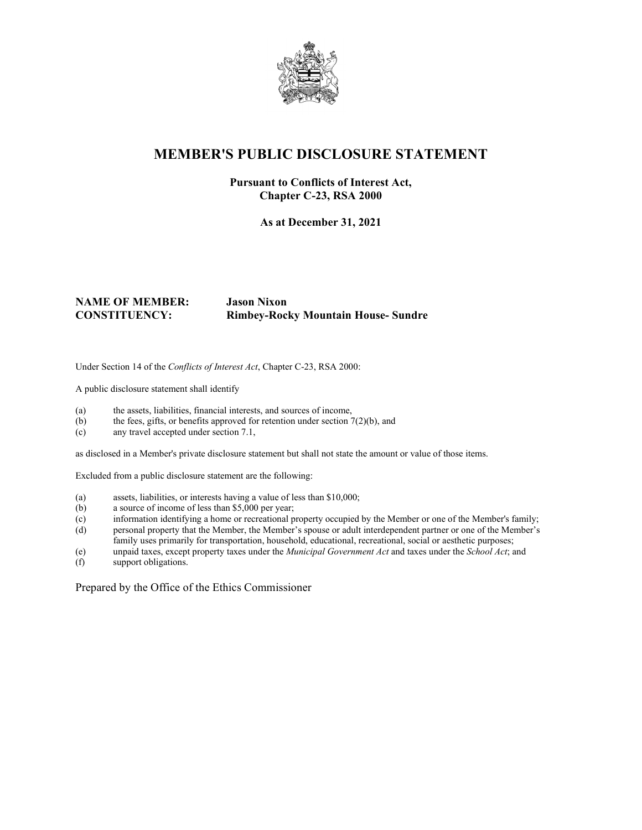

## **MEMBER'S PUBLIC DISCLOSURE STATEMENT**

#### **Pursuant to Conflicts of Interest Act, Chapter C-23, RSA 2000**

**As at December 31, 2021**

#### **NAME OF MEMBER: Jason Nixon CONSTITUENCY: Rimbey-Rocky Mountain House- Sundre**

Under Section 14 of the *Conflicts of Interest Act*, Chapter C-23, RSA 2000:

A public disclosure statement shall identify

- (a) the assets, liabilities, financial interests, and sources of income,
- (b) the fees, gifts, or benefits approved for retention under section  $7(2)(b)$ , and
- (c) any travel accepted under section 7.1,

as disclosed in a Member's private disclosure statement but shall not state the amount or value of those items.

Excluded from a public disclosure statement are the following:

- (a) assets, liabilities, or interests having a value of less than \$10,000;
- (b) a source of income of less than \$5,000 per year;
- (c) information identifying a home or recreational property occupied by the Member or one of the Member's family;
- (d) personal property that the Member, the Member's spouse or adult interdependent partner or one of the Member's family uses primarily for transportation, household, educational, recreational, social or aesthetic purposes;
- (e) unpaid taxes, except property taxes under the *Municipal Government Act* and taxes under the *School Act*; and
- support obligations.

Prepared by the Office of the Ethics Commissioner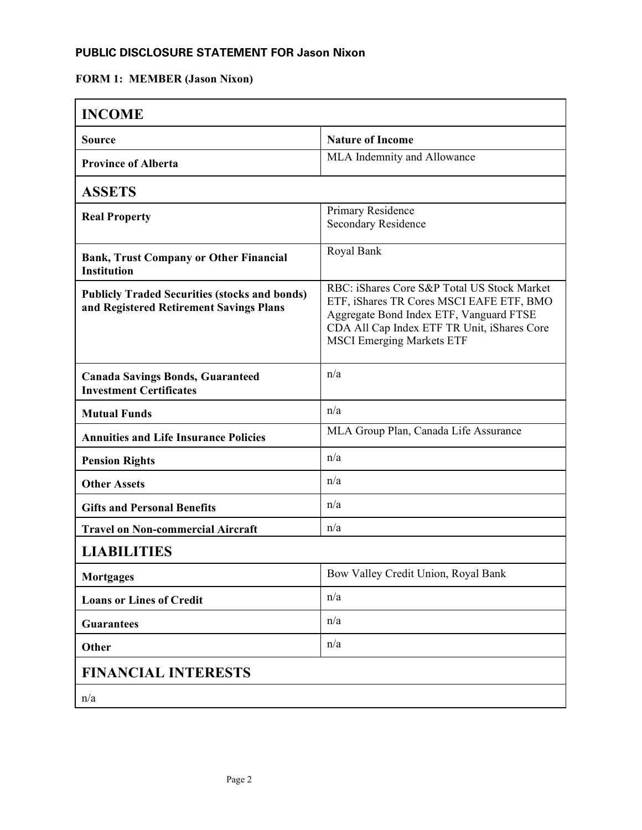### **PUBLIC DISCLOSURE STATEMENT FOR Jason Nixon**

# **FORM 1: MEMBER (Jason Nixon)**

| <b>INCOME</b>                                                                                   |                                                                                                                                                                                                                       |
|-------------------------------------------------------------------------------------------------|-----------------------------------------------------------------------------------------------------------------------------------------------------------------------------------------------------------------------|
| <b>Source</b>                                                                                   | <b>Nature of Income</b>                                                                                                                                                                                               |
| <b>Province of Alberta</b>                                                                      | MLA Indemnity and Allowance                                                                                                                                                                                           |
| <b>ASSETS</b>                                                                                   |                                                                                                                                                                                                                       |
| <b>Real Property</b>                                                                            | Primary Residence<br>Secondary Residence                                                                                                                                                                              |
| <b>Bank, Trust Company or Other Financial</b><br><b>Institution</b>                             | Royal Bank                                                                                                                                                                                                            |
| <b>Publicly Traded Securities (stocks and bonds)</b><br>and Registered Retirement Savings Plans | RBC: iShares Core S&P Total US Stock Market<br>ETF, iShares TR Cores MSCI EAFE ETF, BMO<br>Aggregate Bond Index ETF, Vanguard FTSE<br>CDA All Cap Index ETF TR Unit, iShares Core<br><b>MSCI Emerging Markets ETF</b> |
| <b>Canada Savings Bonds, Guaranteed</b><br><b>Investment Certificates</b>                       | n/a                                                                                                                                                                                                                   |
| <b>Mutual Funds</b>                                                                             | n/a                                                                                                                                                                                                                   |
| <b>Annuities and Life Insurance Policies</b>                                                    | MLA Group Plan, Canada Life Assurance                                                                                                                                                                                 |
| <b>Pension Rights</b>                                                                           | n/a                                                                                                                                                                                                                   |
| <b>Other Assets</b>                                                                             | n/a                                                                                                                                                                                                                   |
| <b>Gifts and Personal Benefits</b>                                                              | n/a                                                                                                                                                                                                                   |
| <b>Travel on Non-commercial Aircraft</b>                                                        | n/a                                                                                                                                                                                                                   |
| <b>LIABILITIES</b>                                                                              |                                                                                                                                                                                                                       |
| <b>Mortgages</b>                                                                                | Bow Valley Credit Union, Royal Bank                                                                                                                                                                                   |
| <b>Loans or Lines of Credit</b>                                                                 | n/a                                                                                                                                                                                                                   |
| <b>Guarantees</b>                                                                               | n/a                                                                                                                                                                                                                   |
| Other                                                                                           | n/a                                                                                                                                                                                                                   |
| <b>FINANCIAL INTERESTS</b>                                                                      |                                                                                                                                                                                                                       |
| n/a                                                                                             |                                                                                                                                                                                                                       |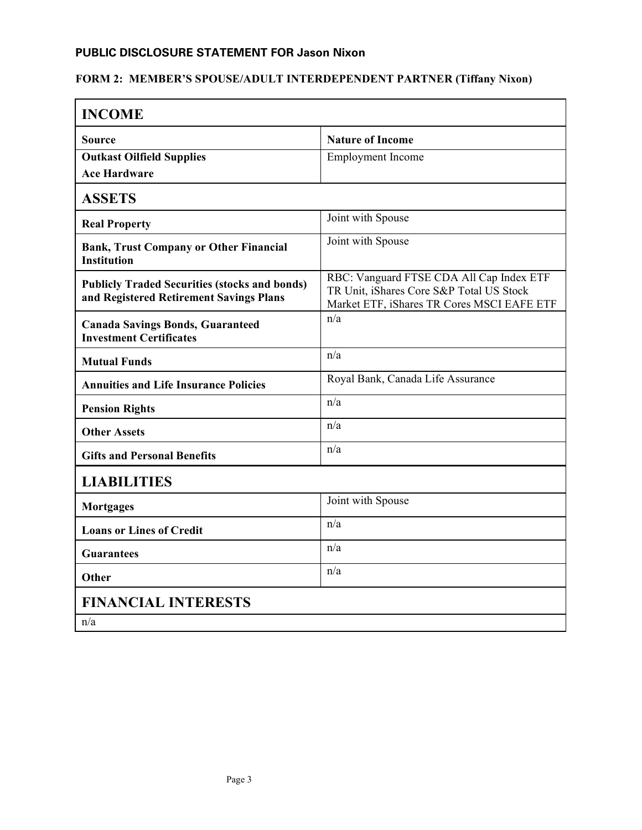### **PUBLIC DISCLOSURE STATEMENT FOR Jason Nixon**

# **FORM 2: MEMBER'S SPOUSE/ADULT INTERDEPENDENT PARTNER (Tiffany Nixon)**

| <b>INCOME</b>                                                                                   |                                                                                                                                    |
|-------------------------------------------------------------------------------------------------|------------------------------------------------------------------------------------------------------------------------------------|
| Source                                                                                          | <b>Nature of Income</b>                                                                                                            |
| <b>Outkast Oilfield Supplies</b>                                                                | <b>Employment</b> Income                                                                                                           |
| <b>Ace Hardware</b>                                                                             |                                                                                                                                    |
| <b>ASSETS</b>                                                                                   |                                                                                                                                    |
| <b>Real Property</b>                                                                            | Joint with Spouse                                                                                                                  |
| <b>Bank, Trust Company or Other Financial</b><br><b>Institution</b>                             | Joint with Spouse                                                                                                                  |
| <b>Publicly Traded Securities (stocks and bonds)</b><br>and Registered Retirement Savings Plans | RBC: Vanguard FTSE CDA All Cap Index ETF<br>TR Unit, iShares Core S&P Total US Stock<br>Market ETF, iShares TR Cores MSCI EAFE ETF |
| <b>Canada Savings Bonds, Guaranteed</b><br><b>Investment Certificates</b>                       | n/a                                                                                                                                |
| <b>Mutual Funds</b>                                                                             | n/a                                                                                                                                |
| <b>Annuities and Life Insurance Policies</b>                                                    | Royal Bank, Canada Life Assurance                                                                                                  |
| <b>Pension Rights</b>                                                                           | n/a                                                                                                                                |
| <b>Other Assets</b>                                                                             | n/a                                                                                                                                |
| <b>Gifts and Personal Benefits</b>                                                              | n/a                                                                                                                                |
| <b>LIABILITIES</b>                                                                              |                                                                                                                                    |
| <b>Mortgages</b>                                                                                | Joint with Spouse                                                                                                                  |
| <b>Loans or Lines of Credit</b>                                                                 | n/a                                                                                                                                |
| <b>Guarantees</b>                                                                               | n/a                                                                                                                                |
| Other                                                                                           | n/a                                                                                                                                |
| <b>FINANCIAL INTERESTS</b>                                                                      |                                                                                                                                    |
| n/a                                                                                             |                                                                                                                                    |